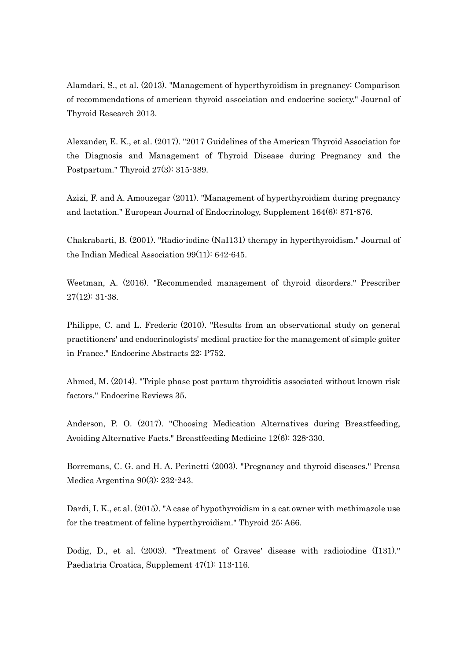Alamdari, S., et al. (2013). "Management of hyperthyroidism in pregnancy: Comparison of recommendations of american thyroid association and endocrine society." Journal of Thyroid Research 2013.

Alexander, E. K., et al. (2017). "2017 Guidelines of the American Thyroid Association for the Diagnosis and Management of Thyroid Disease during Pregnancy and the Postpartum." Thyroid 27(3): 315-389.

Azizi, F. and A. Amouzegar (2011). "Management of hyperthyroidism during pregnancy and lactation." European Journal of Endocrinology, Supplement 164(6): 871-876.

Chakrabarti, B. (2001). "Radio-iodine (NaI131) therapy in hyperthyroidism." Journal of the Indian Medical Association 99(11): 642-645.

Weetman, A. (2016). "Recommended management of thyroid disorders." Prescriber 27(12): 31-38.

Philippe, C. and L. Frederic (2010). "Results from an observational study on general practitioners' and endocrinologists' medical practice for the management of simple goiter in France." Endocrine Abstracts 22: P752.

Ahmed, M. (2014). "Triple phase post partum thyroiditis associated without known risk factors." Endocrine Reviews 35.

Anderson, P. O. (2017). "Choosing Medication Alternatives during Breastfeeding, Avoiding Alternative Facts." Breastfeeding Medicine 12(6): 328-330.

Borremans, C. G. and H. A. Perinetti (2003). "Pregnancy and thyroid diseases." Prensa Medica Argentina 90(3): 232-243.

Dardi, I. K., et al. (2015). "A case of hypothyroidism in a cat owner with methimazole use for the treatment of feline hyperthyroidism." Thyroid 25: A66.

Dodig, D., et al. (2003). "Treatment of Graves' disease with radioiodine (I131)." Paediatria Croatica, Supplement 47(1): 113-116.